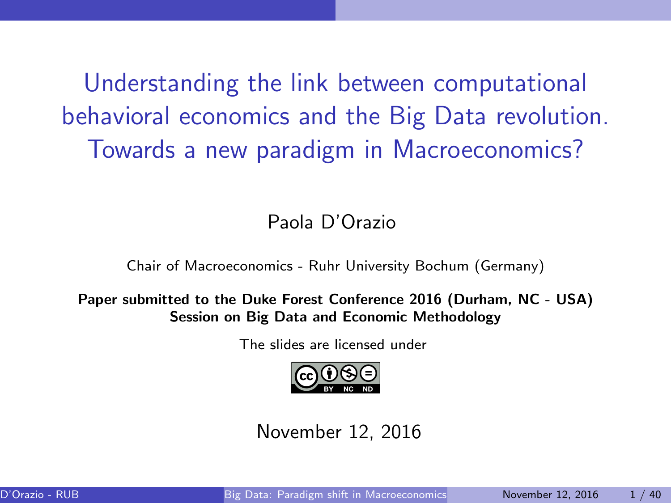<span id="page-0-0"></span>Understanding the link between computational behavioral economics and the Big Data revolution. Towards a new paradigm in Macroeconomics?

Paola D'Orazio

Chair of Macroeconomics - Ruhr University Bochum (Germany)

Paper submitted to the Duke Forest Conference 2016 (Durham, NC - USA) Session on Big Data and Economic Methodology

The slides are licensed under



November 12, 2016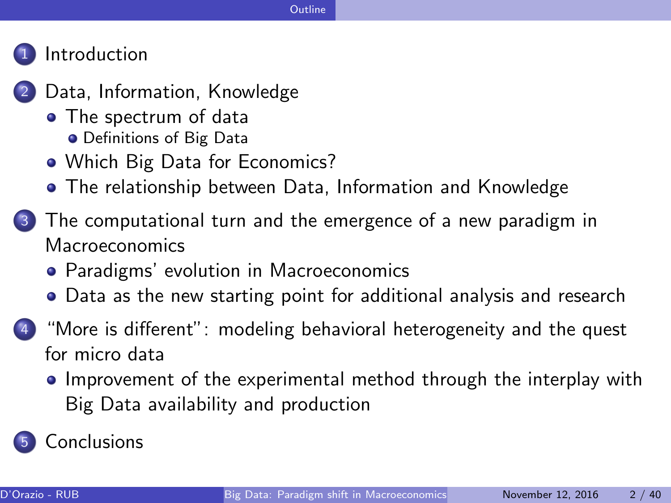#### [Outline](#page-1-0)

### <span id="page-1-0"></span>**[Introduction](#page-2-0)**

- [Data, Information, Knowledge](#page-6-0)
	- [The spectrum of data](#page-6-0) **o** [Definitions of Big Data](#page-7-0)
	- [Which Big Data for Economics?](#page-14-0)
	- [The relationship between Data, Information and Knowledge](#page-17-0)
- [The computational turn and the emergence of a new paradigm in](#page-19-0) [Macroeconomics](#page-19-0)
	- [Paradigms' evolution in Macroeconomics](#page-19-0)
	- [Data as the new starting point for additional analysis and research](#page-25-0)
- ["More is different": modeling behavioral heterogeneity and the quest](#page-27-0) [for micro data](#page-27-0)
	- [Improvement of the experimental method through the interplay with](#page-32-0) [Big Data availability and production](#page-32-0)

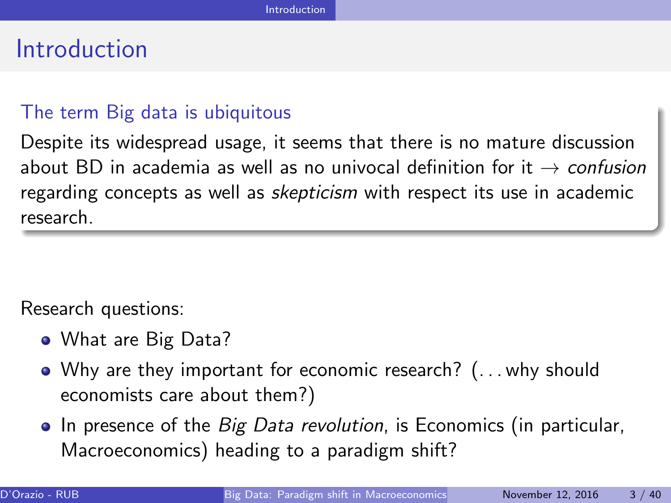### <span id="page-2-0"></span>Introduction

#### The term Big data is ubiquitous

Despite its widespread usage, it seems that there is no mature discussion about BD in academia as well as no univocal definition for it  $\rightarrow$  confusion regarding concepts as well as *skepticism* with respect its use in academic research.

Research questions:

- What are Big Data?
- Why are they important for economic research? (. . . why should economists care about them?)
- In presence of the *Big Data revolution*, is Economics (in particular, Macroeconomics) heading to a paradigm shift?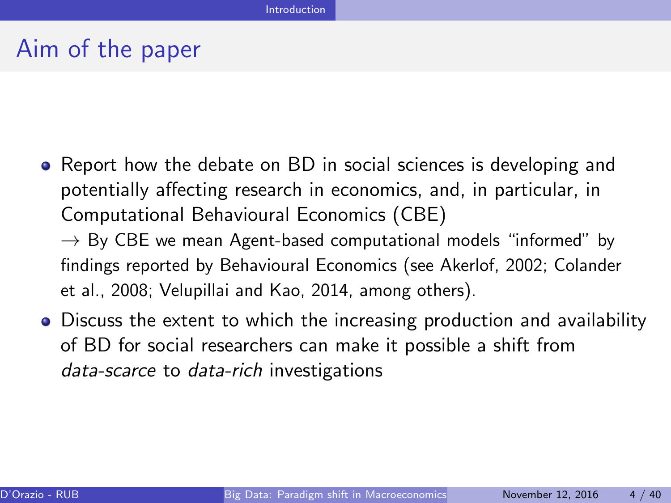### <span id="page-3-0"></span>Aim of the paper

• Report how the debate on BD in social sciences is developing and potentially affecting research in economics, and, in particular, in Computational Behavioural Economics (CBE)

 $\rightarrow$  By CBE we mean Agent-based computational models "informed" by findings reported by Behavioural Economics (see Akerlof, 2002; Colander et al., 2008; Velupillai and Kao, 2014, among others).

Discuss the extent to which the increasing production and availability of BD for social researchers can make it possible a shift from data-scarce to data-rich investigations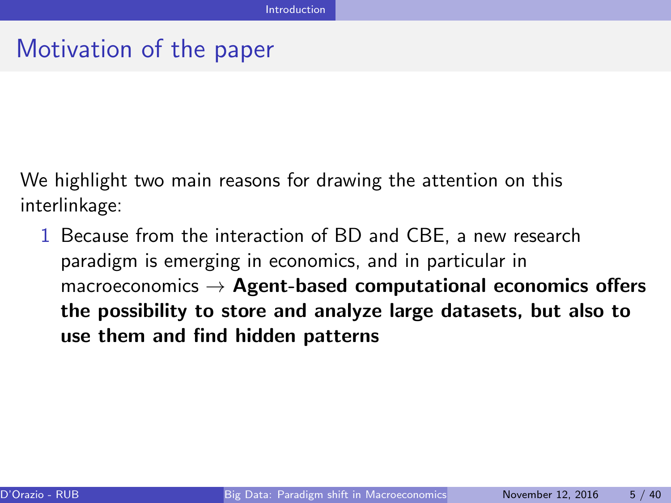### <span id="page-4-0"></span>Motivation of the paper

We highlight two main reasons for drawing the attention on this interlinkage:

1 Because from the interaction of BD and CBE, a new research paradigm is emerging in economics, and in particular in macroeconomics  $\rightarrow$  Agent-based computational economics offers the possibility to store and analyze large datasets, but also to use them and find hidden patterns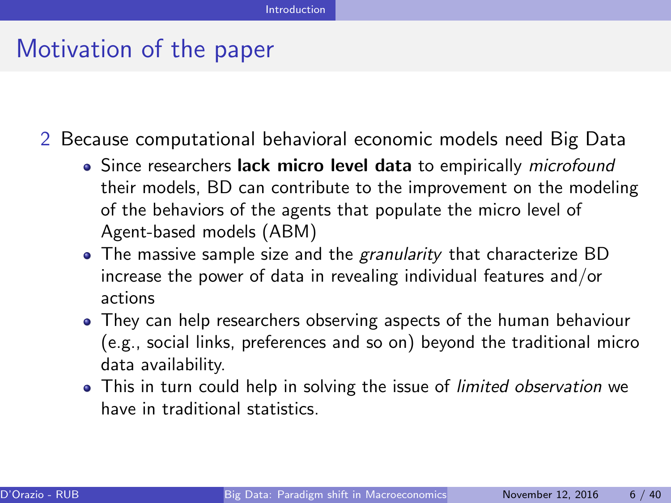### <span id="page-5-0"></span>Motivation of the paper

- 2 Because computational behavioral economic models need Big Data
	- Since researchers lack micro level data to empirically *microfound* their models, BD can contribute to the improvement on the modeling of the behaviors of the agents that populate the micro level of Agent-based models (ABM)
	- The massive sample size and the granularity that characterize BD increase the power of data in revealing individual features and/or actions
	- They can help researchers observing aspects of the human behaviour (e.g., social links, preferences and so on) beyond the traditional micro data availability.
	- This in turn could help in solving the issue of *limited observation* we have in traditional statistics.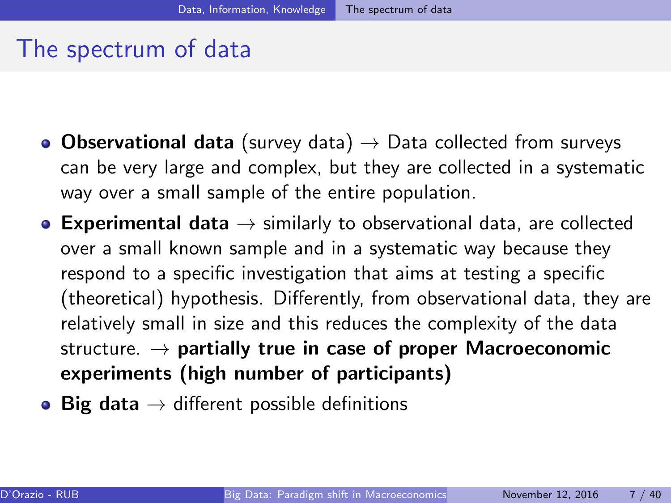### <span id="page-6-0"></span>The spectrum of data

- Observational data (survey data)  $\rightarrow$  Data collected from surveys can be very large and complex, but they are collected in a systematic way over a small sample of the entire population.
- Experimental data  $\rightarrow$  similarly to observational data, are collected over a small known sample and in a systematic way because they respond to a specific investigation that aims at testing a specific (theoretical) hypothesis. Differently, from observational data, they are relatively small in size and this reduces the complexity of the data structure.  $\rightarrow$  partially true in case of proper Macroeconomic experiments (high number of participants)
- Big data  $\rightarrow$  different possible definitions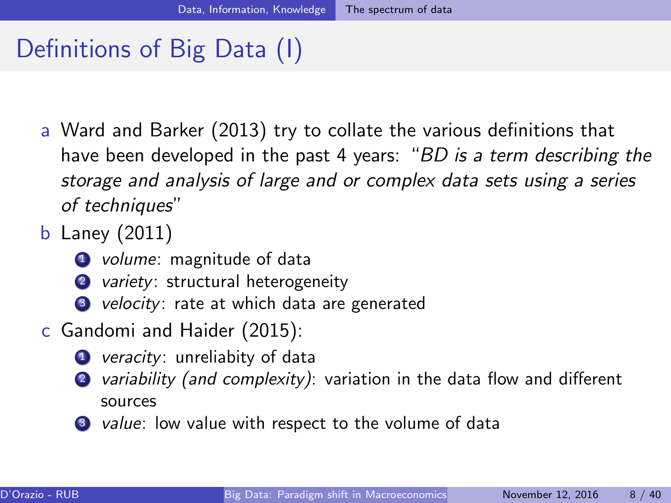### <span id="page-7-0"></span>Definitions of Big Data (I)

- a Ward and Barker (2013) try to collate the various definitions that have been developed in the past 4 years: "BD is a term describing the storage and analysis of large and or complex data sets using a series of techniques"
- b Laney (2011)
	- **1** volume: magnitude of data
	- **2** variety: structural heterogeneity
	- **3** velocity: rate at which data are generated
- c Gandomi and Haider (2015):
	- **1** veracity: unreliabity of data
	- *variability (and complexity)*: variation in the data flow and different sources
	- <sup>3</sup> value: low value with respect to the volume of data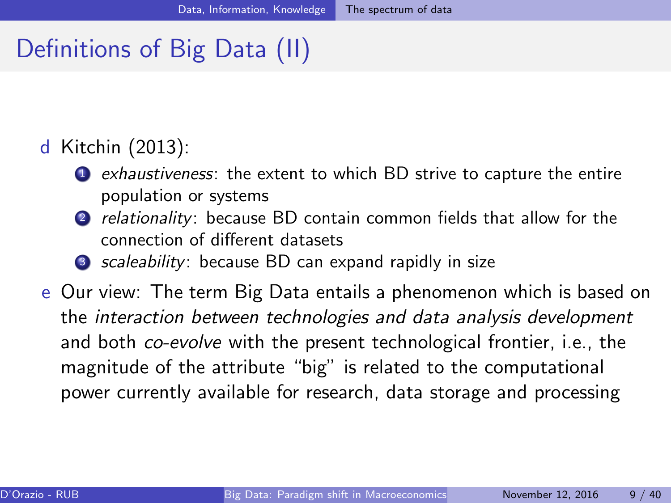### <span id="page-8-0"></span>Definitions of Big Data (II)

### d Kitchin (2013):

- <sup>1</sup> exhaustiveness: the extent to which BD strive to capture the entire population or systems
- 2 *relationality*: because BD contain common fields that allow for the connection of different datasets
- <sup>3</sup> scaleability: because BD can expand rapidly in size
- e Our view: The term Big Data entails a phenomenon which is based on the interaction between technologies and data analysis development and both co-evolve with the present technological frontier, i.e., the magnitude of the attribute "big" is related to the computational power currently available for research, data storage and processing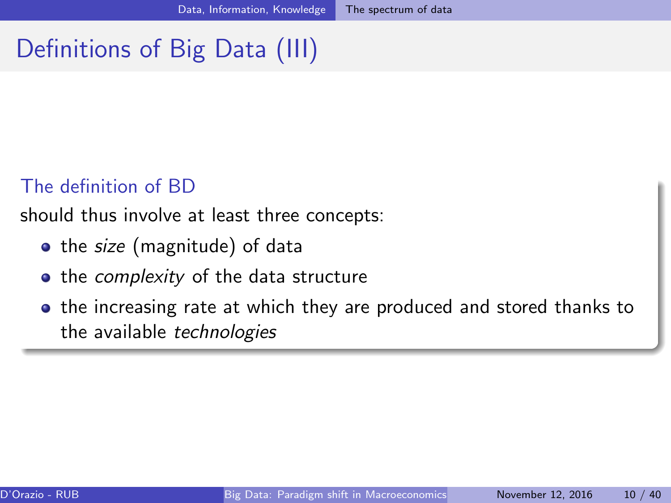### <span id="page-9-0"></span>Definitions of Big Data (III)

#### The definition of BD

should thus involve at least three concepts:

- the size (magnitude) of data
- the complexity of the data structure
- the increasing rate at which they are produced and stored thanks to the available technologies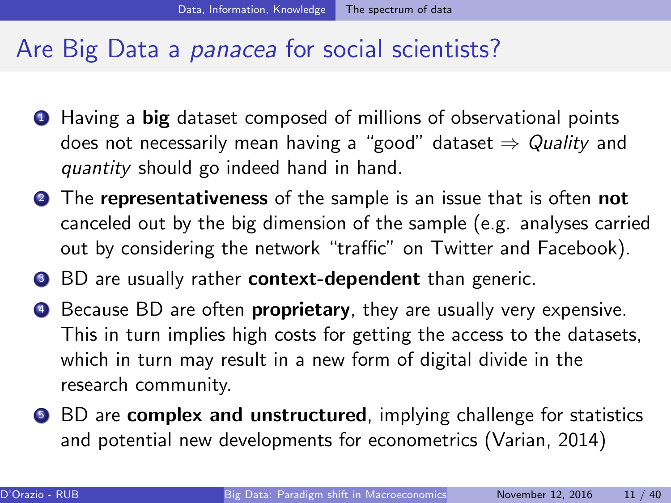### <span id="page-10-0"></span>Are Big Data a panacea for social scientists?

- **1** Having a **big** dataset composed of millions of observational points does not necessarily mean having a "good" dataset  $\Rightarrow$  Quality and quantity should go indeed hand in hand.
- **2** The representativeness of the sample is an issue that is often not canceled out by the big dimension of the sample (e.g. analyses carried out by considering the network "traffic" on Twitter and Facebook).
- <sup>3</sup> BD are usually rather **context-dependent** than generic.
- **4** Because BD are often **proprietary**, they are usually very expensive. This in turn implies high costs for getting the access to the datasets, which in turn may result in a new form of digital divide in the research community.
- **6** BD are **complex and unstructured**, implying challenge for statistics and potential new developments for econometrics (Varian, 2014)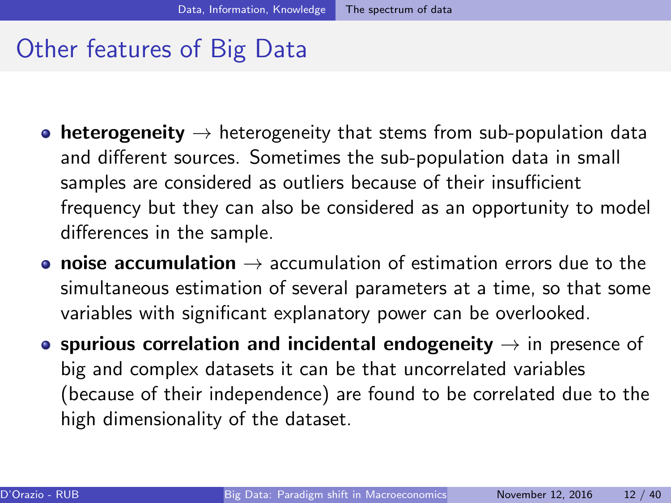### <span id="page-11-0"></span>Other features of Big Data

- heterogeneity  $\rightarrow$  heterogeneity that stems from sub-population data and different sources. Sometimes the sub-population data in small samples are considered as outliers because of their insufficient frequency but they can also be considered as an opportunity to model differences in the sample.
- noise accumulation  $\rightarrow$  accumulation of estimation errors due to the simultaneous estimation of several parameters at a time, so that some variables with significant explanatory power can be overlooked.
- spurious correlation and incidental endogeneity  $\rightarrow$  in presence of big and complex datasets it can be that uncorrelated variables (because of their independence) are found to be correlated due to the high dimensionality of the dataset.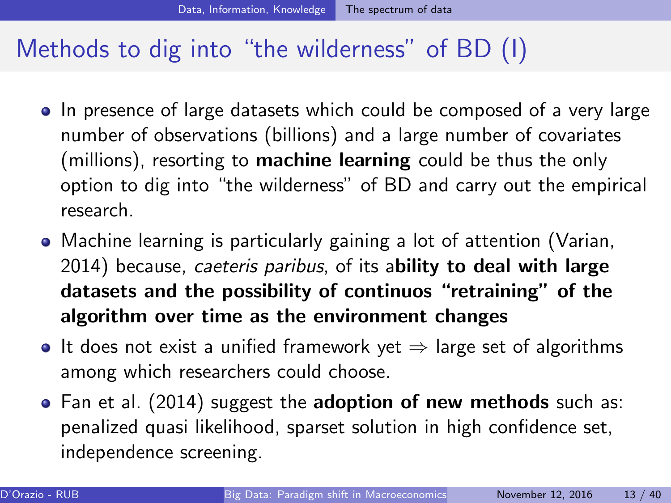### <span id="page-12-0"></span>Methods to dig into "the wilderness" of BD (I)

- In presence of large datasets which could be composed of a very large number of observations (billions) and a large number of covariates (millions), resorting to **machine learning** could be thus the only option to dig into "the wilderness" of BD and carry out the empirical research.
- Machine learning is particularly gaining a lot of attention (Varian, 2014) because, caeteris paribus, of its ability to deal with large datasets and the possibility of continuos "retraining" of the algorithm over time as the environment changes
- It does not exist a unified framework yet  $\Rightarrow$  large set of algorithms among which researchers could choose.
- Fan et al. (2014) suggest the **adoption of new methods** such as: penalized quasi likelihood, sparset solution in high confidence set, independence screening.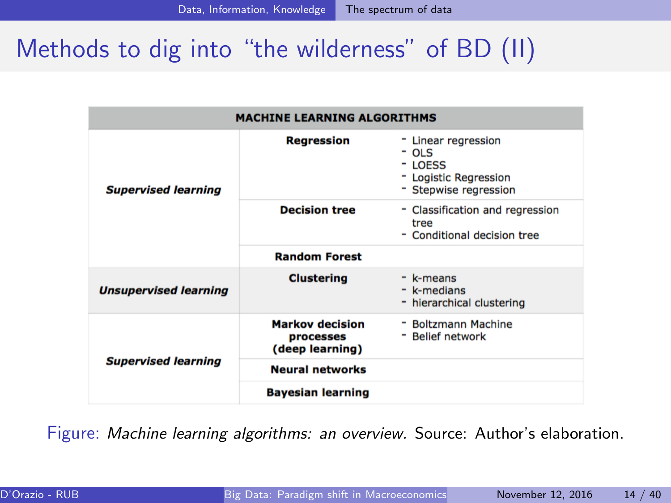### <span id="page-13-0"></span>Methods to dig into "the wilderness" of BD (II)

| <b>MACHINE LEARNING ALGORITHMS</b> |                                                               |                                                                                           |  |
|------------------------------------|---------------------------------------------------------------|-------------------------------------------------------------------------------------------|--|
| <b>Supervised learning</b>         | Regression                                                    | - Linear regression<br>- OLS<br>- LOESS<br>- Logistic Regression<br>- Stepwise regression |  |
|                                    | <b>Decision tree</b>                                          | - Classification and regression<br>tree<br>- Conditional decision tree                    |  |
|                                    | <b>Random Forest</b>                                          |                                                                                           |  |
| <b>Unsupervised learning</b>       | <b>Clustering</b>                                             | - k-means<br>- k-medians<br>- hierarchical clustering                                     |  |
| <b>Supervised learning</b>         | <b>Markov decision</b><br><b>processes</b><br>(deep learning) | - Boltzmann Machine<br>- Belief network                                                   |  |
|                                    | <b>Neural networks</b>                                        |                                                                                           |  |
|                                    | <b>Bayesian learning</b>                                      |                                                                                           |  |

Figure: Machine learning algorithms: an overview. Source: Author's elaboration.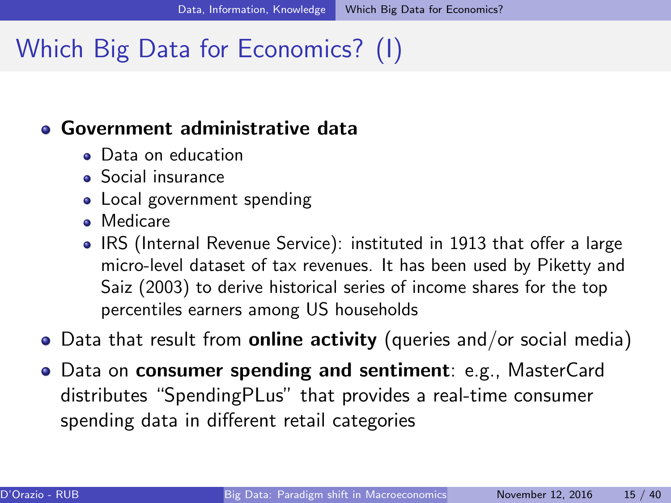### <span id="page-14-0"></span>Which Big Data for Economics? (I)

#### **• Government administrative data**

- **•** Data on education
- Social insurance
- Local government spending
- Medicare
- IRS (Internal Revenue Service): instituted in 1913 that offer a large micro-level dataset of tax revenues. It has been used by Piketty and Saiz (2003) to derive historical series of income shares for the top percentiles earners among US households
- Data that result from **online activity** (queries and/or social media)
- Data on consumer spending and sentiment: e.g., MasterCard distributes "SpendingPLus" that provides a real-time consumer spending data in different retail categories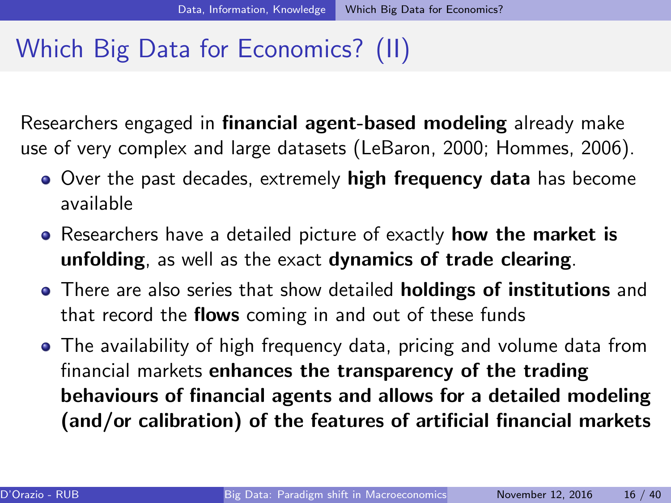### <span id="page-15-0"></span>Which Big Data for Economics? (II)

Researchers engaged in financial agent-based modeling already make use of very complex and large datasets (LeBaron, 2000; Hommes, 2006).

- Over the past decades, extremely **high frequency data** has become available
- Researchers have a detailed picture of exactly how the market is unfolding, as well as the exact dynamics of trade clearing.
- There are also series that show detailed **holdings of institutions** and that record the **flows** coming in and out of these funds
- The availability of high frequency data, pricing and volume data from financial markets enhances the transparency of the trading behaviours of financial agents and allows for a detailed modeling (and/or calibration) of the features of artificial financial markets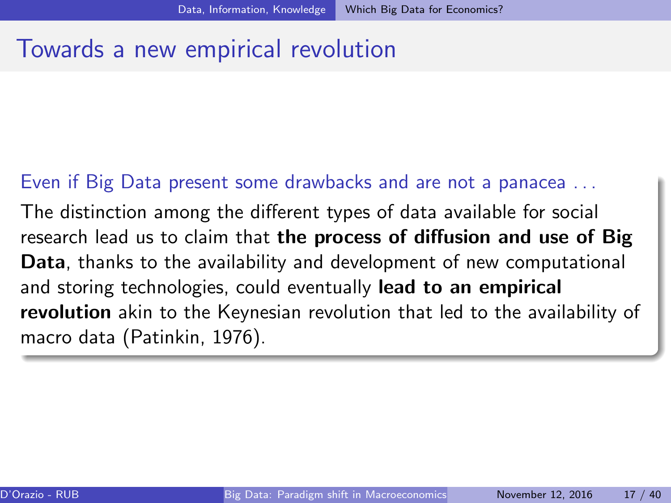### <span id="page-16-0"></span>Towards a new empirical revolution

#### Even if Big Data present some drawbacks and are not a panacea . . .

The distinction among the different types of data available for social research lead us to claim that the process of diffusion and use of Big Data, thanks to the availability and development of new computational and storing technologies, could eventually lead to an empirical revolution akin to the Keynesian revolution that led to the availability of macro data (Patinkin, 1976).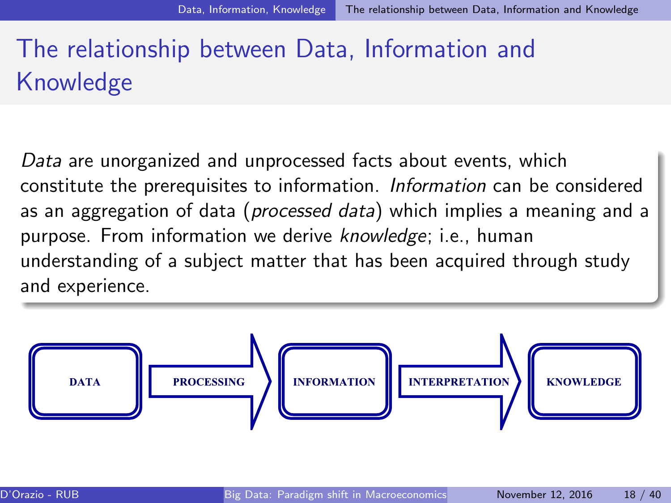## <span id="page-17-0"></span>The relationship between Data, Information and Knowledge

Data are unorganized and unprocessed facts about events, which constitute the prerequisites to information. Information can be considered as an aggregation of data (processed data) which implies a meaning and a purpose. From information we derive knowledge; i.e., human understanding of a subject matter that has been acquired through study and experience.

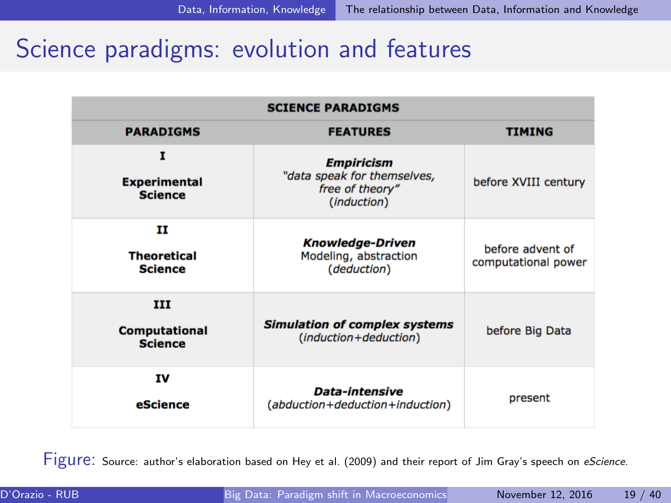### <span id="page-18-0"></span>Science paradigms: evolution and features

| <b>SCIENCE PARADIGMS</b>                    |                                                                                    |                                         |  |
|---------------------------------------------|------------------------------------------------------------------------------------|-----------------------------------------|--|
| <b>PARADIGMS</b>                            | <b>FEATURES</b>                                                                    | <b>TIMING</b>                           |  |
| т<br><b>Experimental</b><br><b>Science</b>  | <b>Empiricism</b><br>"data speak for themselves,<br>free of theory"<br>(induction) | before XVIII century                    |  |
| п<br><b>Theoretical</b><br><b>Science</b>   | <b>Knowledge-Driven</b><br>Modeling, abstraction<br>(deduction)                    | before advent of<br>computational power |  |
| ш<br><b>Computational</b><br><b>Science</b> | <b>Simulation of complex systems</b><br>(induction+deduction)                      | before Big Data                         |  |
| IV<br>eScience                              | <b>Data-intensive</b><br>$(abduction + deduction + induction)$                     | present                                 |  |

<span id="page-18-1"></span>Figure: Source: author's elaboration based on Hey et al. (2009) and their report of Jim Gray's speech on eScience.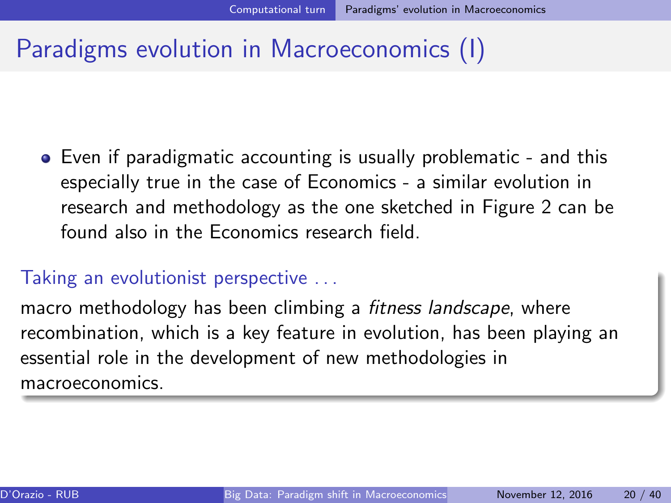### <span id="page-19-0"></span>Paradigms evolution in Macroeconomics (I)

Even if paradigmatic accounting is usually problematic - and this especially true in the case of Economics - a similar evolution in research and methodology as the one sketched in Figure [2](#page-18-1) can be found also in the Economics research field.

#### Taking an evolutionist perspective . . .

macro methodology has been climbing a *fitness landscape*, where recombination, which is a key feature in evolution, has been playing an essential role in the development of new methodologies in macroeconomics.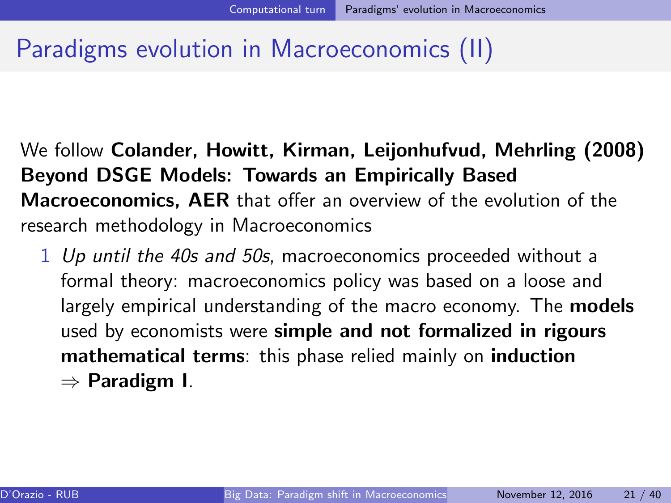### <span id="page-20-0"></span>Paradigms evolution in Macroeconomics (II)

We follow Colander, Howitt, Kirman, Leijonhufvud, Mehrling (2008) Beyond DSGE Models: Towards an Empirically Based Macroeconomics, AER that offer an overview of the evolution of the research methodology in Macroeconomics

1 Up until the 40s and 50s, macroeconomics proceeded without a formal theory: macroeconomics policy was based on a loose and largely empirical understanding of the macro economy. The **models** used by economists were simple and not formalized in rigours mathematical terms: this phase relied mainly on induction ⇒ Paradigm I.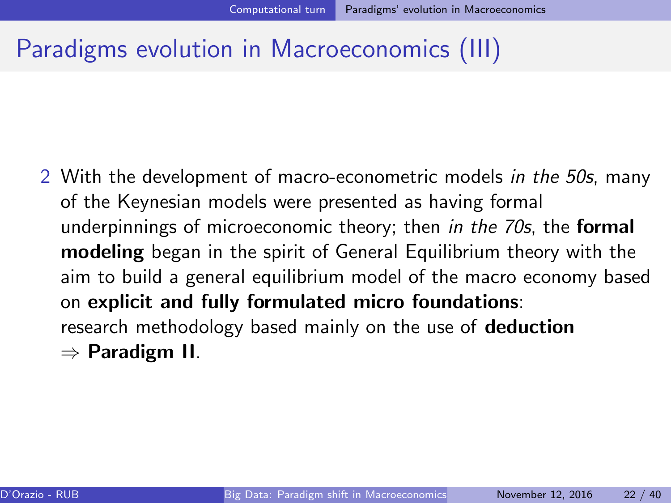### <span id="page-21-0"></span>Paradigms evolution in Macroeconomics (III)

2 With the development of macro-econometric models in the 50s, many of the Keynesian models were presented as having formal underpinnings of microeconomic theory; then in the 70s, the formal modeling began in the spirit of General Equilibrium theory with the aim to build a general equilibrium model of the macro economy based on explicit and fully formulated micro foundations: research methodology based mainly on the use of **deduction** ⇒ Paradigm II.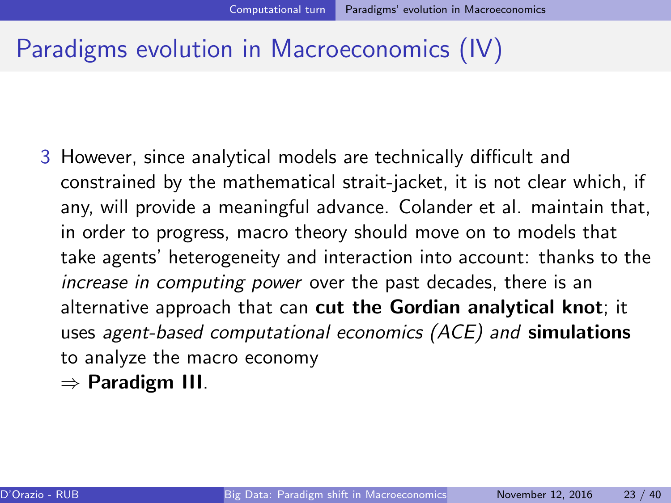### <span id="page-22-0"></span>Paradigms evolution in Macroeconomics (IV)

- 3 However, since analytical models are technically difficult and constrained by the mathematical strait-jacket, it is not clear which, if any, will provide a meaningful advance. Colander et al. maintain that, in order to progress, macro theory should move on to models that take agents' heterogeneity and interaction into account: thanks to the increase in computing power over the past decades, there is an alternative approach that can cut the Gordian analytical knot; it uses agent-based computational economics (ACE) and simulations to analyze the macro economy
	- $\Rightarrow$  Paradigm III.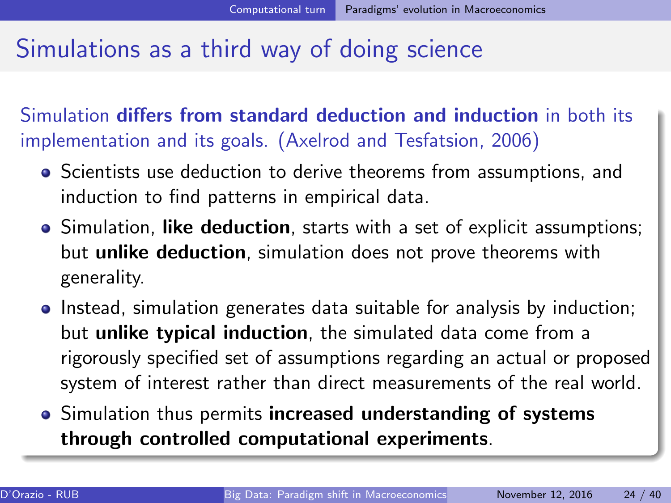### <span id="page-23-0"></span>Simulations as a third way of doing science

Simulation differs from standard deduction and induction in both its implementation and its goals. (Axelrod and Tesfatsion, 2006)

- Scientists use deduction to derive theorems from assumptions, and induction to find patterns in empirical data.
- Simulation, like deduction, starts with a set of explicit assumptions; but unlike deduction, simulation does not prove theorems with generality.
- Instead, simulation generates data suitable for analysis by induction; but unlike typical induction, the simulated data come from a rigorously specified set of assumptions regarding an actual or proposed system of interest rather than direct measurements of the real world.
- Simulation thus permits increased understanding of systems through controlled computational experiments.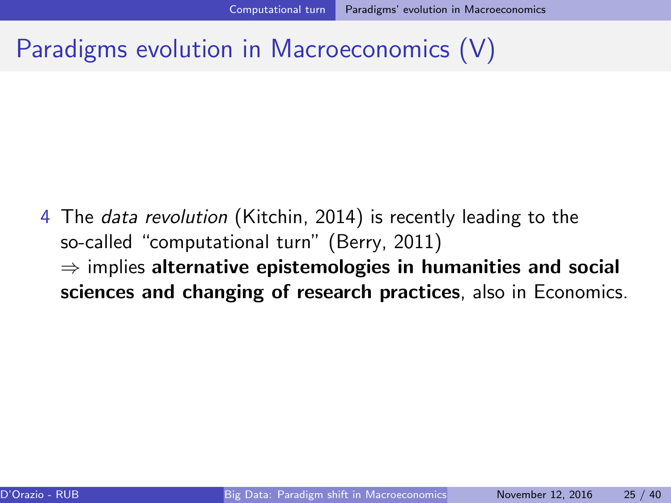### <span id="page-24-0"></span>Paradigms evolution in Macroeconomics (V)

4 The data revolution (Kitchin, 2014) is recently leading to the so-called "computational turn" (Berry, 2011)  $\Rightarrow$  implies alternative epistemologies in humanities and social sciences and changing of research practices, also in Economics.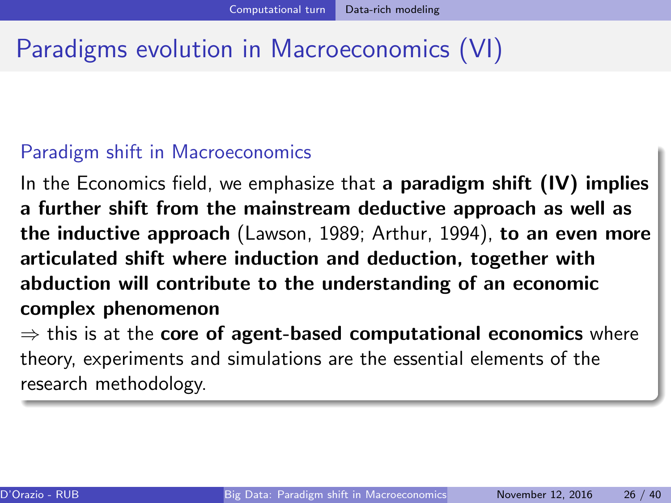### <span id="page-25-0"></span>Paradigms evolution in Macroeconomics (VI)

#### Paradigm shift in Macroeconomics

In the Economics field, we emphasize that a **paradigm shift (IV) implies** a further shift from the mainstream deductive approach as well as the inductive approach (Lawson, 1989; Arthur, 1994), to an even more articulated shift where induction and deduction, together with abduction will contribute to the understanding of an economic complex phenomenon

 $\Rightarrow$  this is at the core of agent-based computational economics where theory, experiments and simulations are the essential elements of the research methodology.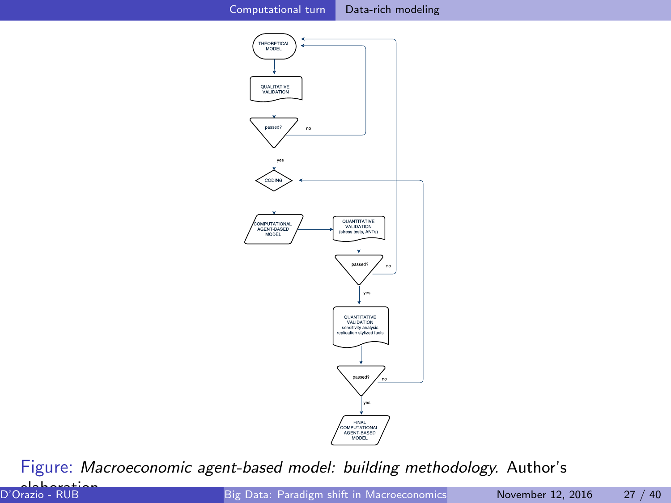<span id="page-26-0"></span>



Figure: Macroeconomic agent-based model: building methodology. Author's

elaboration. D'Orazio - RUB [\(Chair of Macroecon](#page-0-0)omics - Ruhr University Bochum (Germany) Big Data: Paradigm shift in Macroeconomics November 12, 2016 27 / 40 Paper submitted to the Duke Forest Conference 2016 (Durham, NC - USA) Session on Big Data and Economic Methodology The slides are licensed under )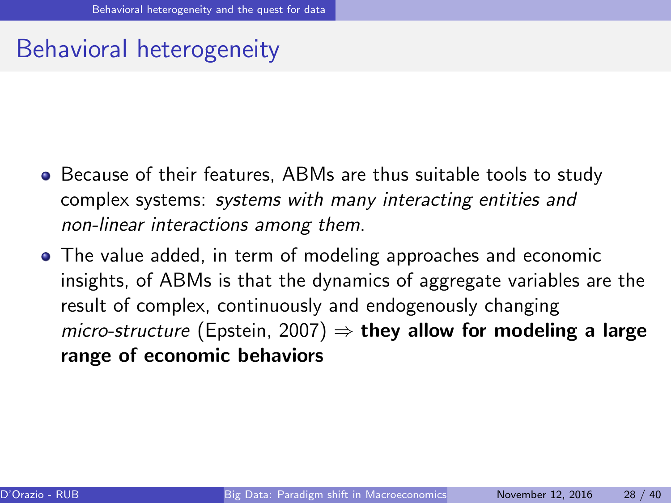### <span id="page-27-0"></span>Behavioral heterogeneity

- Because of their features, ABMs are thus suitable tools to study complex systems: systems with many interacting entities and non-linear interactions among them.
- The value added, in term of modeling approaches and economic insights, of ABMs is that the dynamics of aggregate variables are the result of complex, continuously and endogenously changing micro-structure (Epstein, 2007)  $\Rightarrow$  they allow for modeling a large range of economic behaviors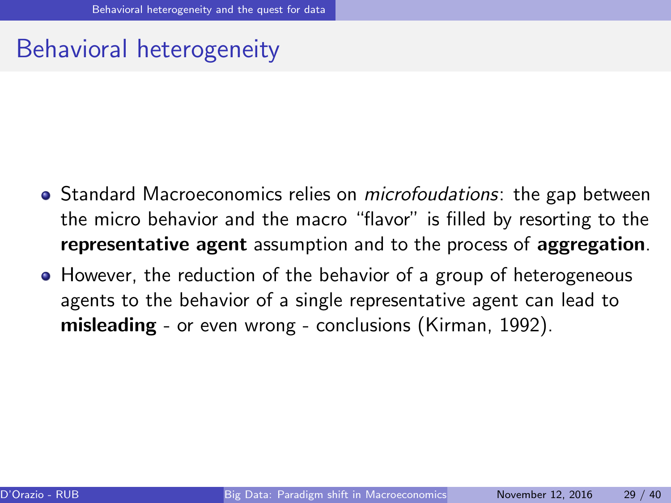### <span id="page-28-0"></span>Behavioral heterogeneity

- Standard Macroeconomics relies on *microfoudations*: the gap between the micro behavior and the macro "flavor" is filled by resorting to the representative agent assumption and to the process of aggregation.
- However, the reduction of the behavior of a group of heterogeneous agents to the behavior of a single representative agent can lead to misleading - or even wrong - conclusions (Kirman, 1992).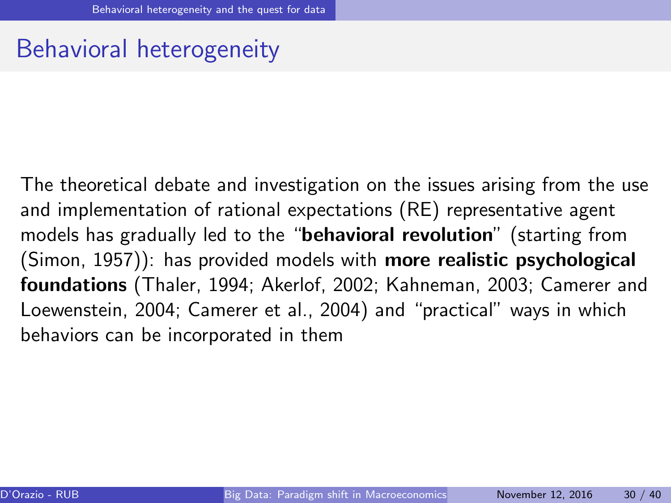### <span id="page-29-0"></span>Behavioral heterogeneity

The theoretical debate and investigation on the issues arising from the use and implementation of rational expectations (RE) representative agent models has gradually led to the "behavioral revolution" (starting from (Simon, 1957)): has provided models with **more realistic psychological** foundations (Thaler, 1994; Akerlof, 2002; Kahneman, 2003; Camerer and Loewenstein, 2004; Camerer et al., 2004) and "practical" ways in which behaviors can be incorporated in them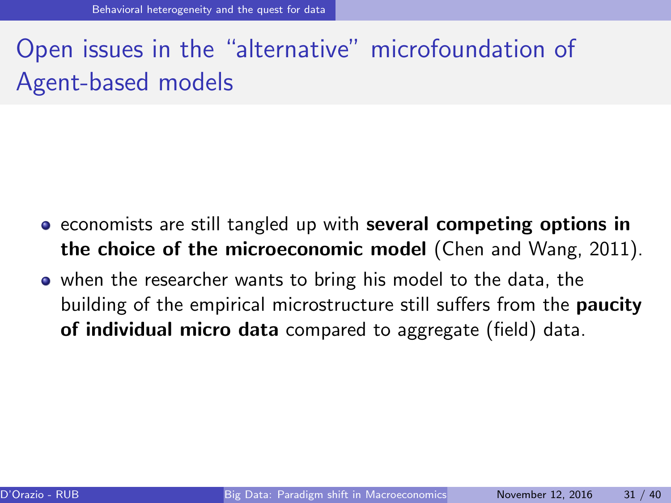### <span id="page-30-0"></span>Open issues in the "alternative" microfoundation of Agent-based models

- **e** economists are still tangled up with several competing options in the choice of the microeconomic model (Chen and Wang, 2011).
- when the researcher wants to bring his model to the data, the building of the empirical microstructure still suffers from the **paucity** of individual micro data compared to aggregate (field) data.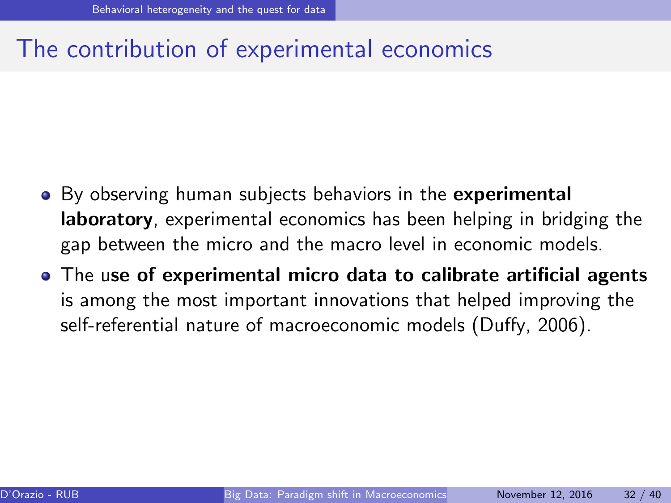### <span id="page-31-0"></span>The contribution of experimental economics

- By observing human subjects behaviors in the experimental laboratory, experimental economics has been helping in bridging the gap between the micro and the macro level in economic models.
- The use of experimental micro data to calibrate artificial agents is among the most important innovations that helped improving the self-referential nature of macroeconomic models (Duffy, 2006).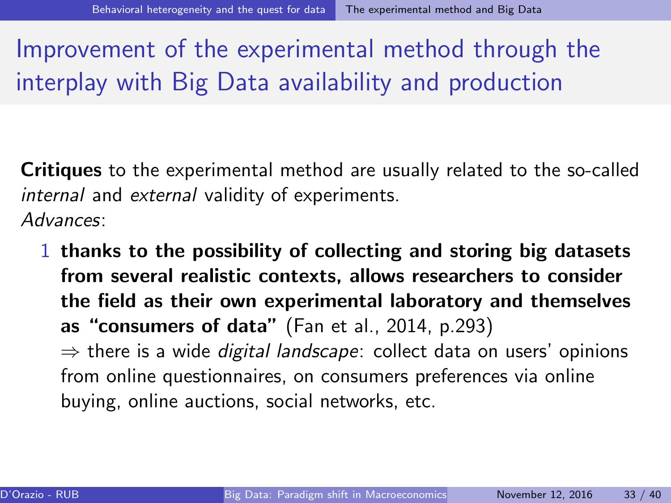<span id="page-32-0"></span>Improvement of the experimental method through the interplay with Big Data availability and production

Critiques to the experimental method are usually related to the so-called internal and external validity of experiments. Advances:

1 thanks to the possibility of collecting and storing big datasets from several realistic contexts, allows researchers to consider the field as their own experimental laboratory and themselves as "consumers of data" (Fan et al., 2014, p.293)  $\Rightarrow$  there is a wide *digital landscape*: collect data on users' opinions from online questionnaires, on consumers preferences via online buying, online auctions, social networks, etc.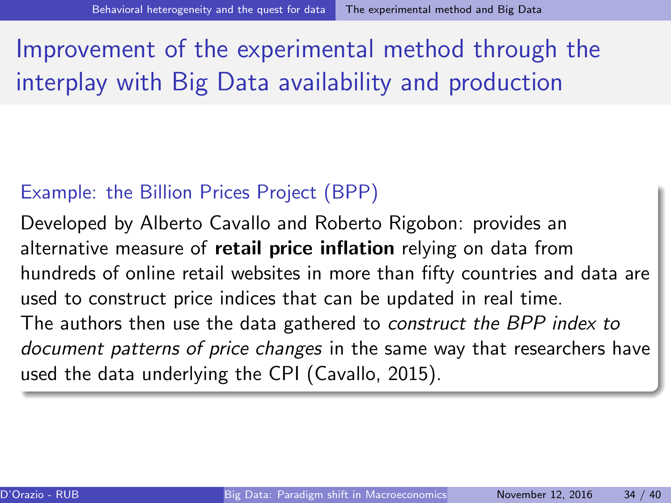<span id="page-33-0"></span>Improvement of the experimental method through the interplay with Big Data availability and production

#### Example: the Billion Prices Project (BPP)

Developed by Alberto Cavallo and Roberto Rigobon: provides an alternative measure of **retail price inflation** relying on data from hundreds of online retail websites in more than fifty countries and data are used to construct price indices that can be updated in real time. The authors then use the data gathered to *construct the BPP index to* document patterns of price changes in the same way that researchers have used the data underlying the CPI (Cavallo, 2015).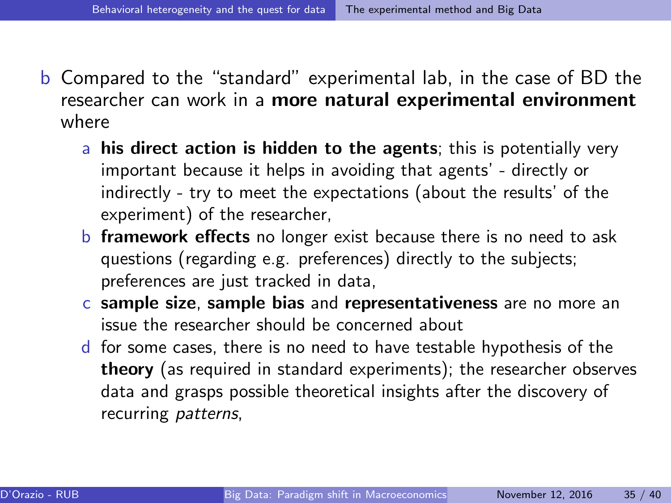- <span id="page-34-0"></span>b Compared to the "standard" experimental lab, in the case of BD the researcher can work in a more natural experimental environment where
	- a his direct action is hidden to the agents; this is potentially very important because it helps in avoiding that agents' - directly or indirectly - try to meet the expectations (about the results' of the experiment) of the researcher,
	- **b** framework effects no longer exist because there is no need to ask questions (regarding e.g. preferences) directly to the subjects; preferences are just tracked in data,
	- c sample size, sample bias and representativeness are no more an issue the researcher should be concerned about
	- d for some cases, there is no need to have testable hypothesis of the theory (as required in standard experiments); the researcher observes data and grasps possible theoretical insights after the discovery of recurring *patterns*,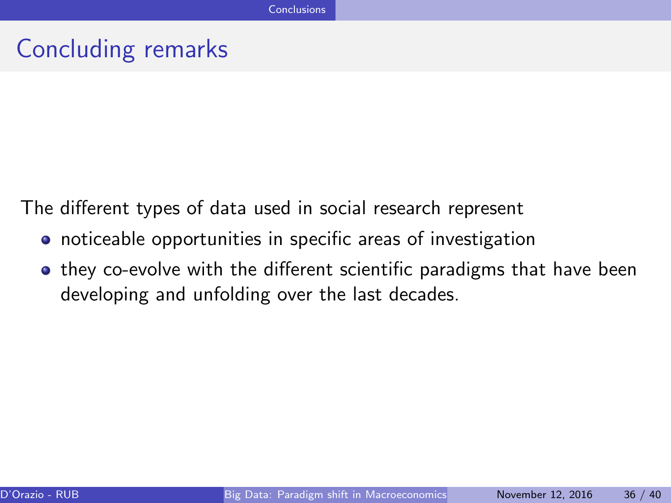### <span id="page-35-0"></span>Concluding remarks

The different types of data used in social research represent

- noticeable opportunities in specific areas of investigation
- they co-evolve with the different scientific paradigms that have been developing and unfolding over the last decades.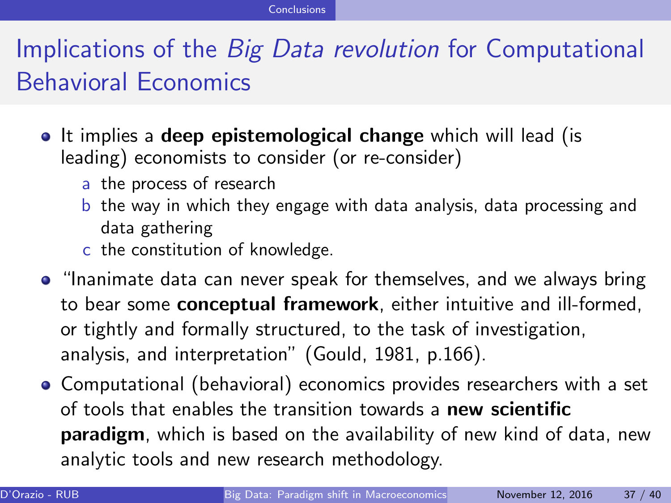### <span id="page-36-0"></span>Implications of the Big Data revolution for Computational Behavioral Economics

- It implies a **deep epistemological change** which will lead (is leading) economists to consider (or re-consider)
	- a the process of research
	- b the way in which they engage with data analysis, data processing and data gathering
	- c the constitution of knowledge.
- "Inanimate data can never speak for themselves, and we always bring to bear some conceptual framework, either intuitive and ill-formed, or tightly and formally structured, to the task of investigation, analysis, and interpretation" (Gould, 1981, p.166).
- Computational (behavioral) economics provides researchers with a set of tools that enables the transition towards a new scientific **paradigm**, which is based on the availability of new kind of data, new analytic tools and new research methodology.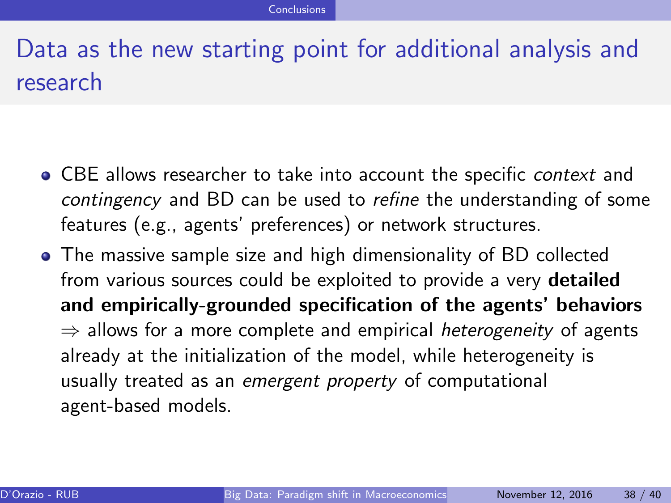### <span id="page-37-0"></span>Data as the new starting point for additional analysis and research

- CBE allows researcher to take into account the specific *context* and contingency and BD can be used to refine the understanding of some features (e.g., agents' preferences) or network structures.
- The massive sample size and high dimensionality of BD collected from various sources could be exploited to provide a very **detailed** and empirically-grounded specification of the agents' behaviors  $\Rightarrow$  allows for a more complete and empirical *heterogeneity* of agents already at the initialization of the model, while heterogeneity is usually treated as an emergent property of computational agent-based models.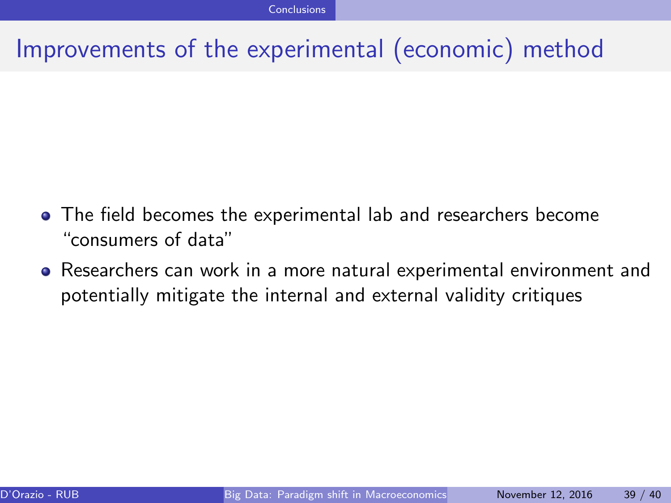### <span id="page-38-0"></span>Improvements of the experimental (economic) method

- The field becomes the experimental lab and researchers become "consumers of data"
- Researchers can work in a more natural experimental environment and potentially mitigate the internal and external validity critiques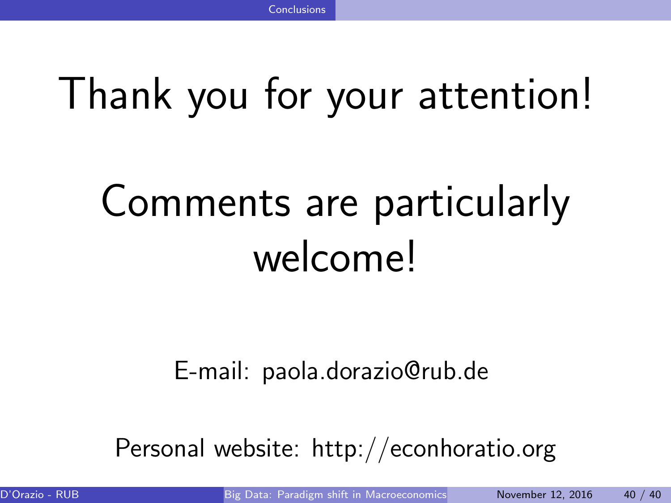## <span id="page-39-0"></span>Thank you for your attention!

# Comments are particularly welcome!

### E-mail: paola.dorazio@rub.de

Personal website: http://econhoratio.org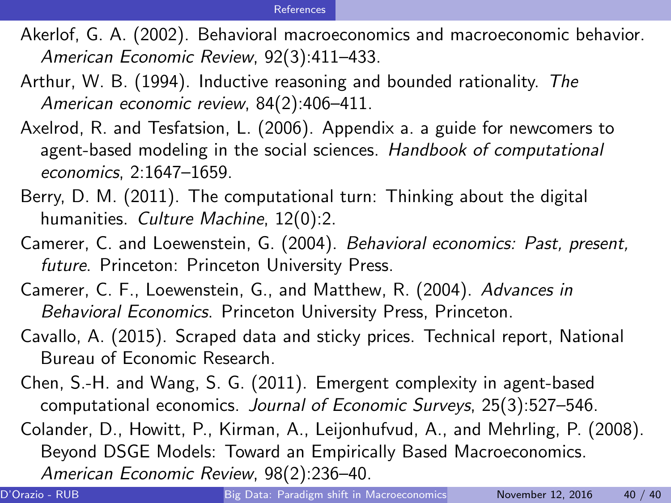- <span id="page-40-0"></span>Akerlof, G. A. (2002). Behavioral macroeconomics and macroeconomic behavior. American Economic Review, 92(3):411–433.
- Arthur, W. B. (1994). Inductive reasoning and bounded rationality. The American economic review, 84(2):406–411.
- Axelrod, R. and Tesfatsion, L. (2006). Appendix a. a guide for newcomers to agent-based modeling in the social sciences. Handbook of computational economics, 2:1647–1659.
- Berry, D. M. (2011). The computational turn: Thinking about the digital humanities. Culture Machine, 12(0):2.
- Camerer, C. and Loewenstein, G. (2004). Behavioral economics: Past, present, future. Princeton: Princeton University Press.
- Camerer, C. F., Loewenstein, G., and Matthew, R. (2004). Advances in Behavioral Economics. Princeton University Press, Princeton.
- Cavallo, A. (2015). Scraped data and sticky prices. Technical report, National Bureau of Economic Research.
- Chen, S.-H. and Wang, S. G. (2011). Emergent complexity in agent-based computational economics. Journal of Economic Surveys, 25(3):527–546. Colander, D., Howitt, P., Kirman, A., Leijonhufvud, A., and Mehrling, P. (2008). Beyond DSGE Models: Toward an Empirically Based Macroeconomics. American Economic Review, 98(2):236–40.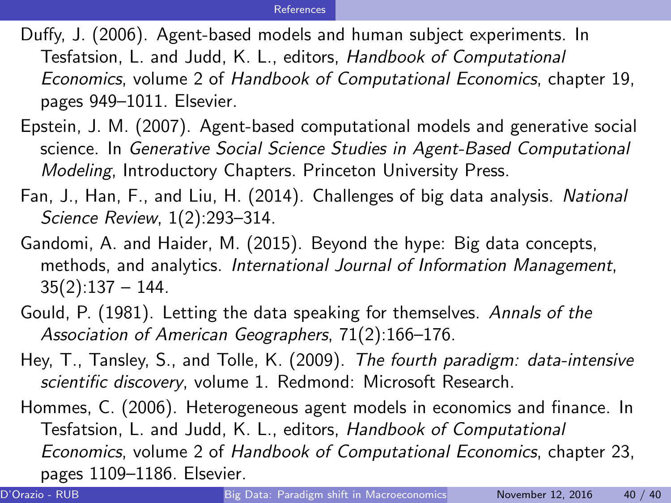#### [References](#page-41-0)

- <span id="page-41-0"></span>Duffy, J. (2006). Agent-based models and human subject experiments. In Tesfatsion, L. and Judd, K. L., editors, Handbook of Computational Economics, volume 2 of Handbook of Computational Economics, chapter 19, pages 949–1011. Elsevier.
- Epstein, J. M. (2007). Agent-based computational models and generative social science. In Generative Social Science Studies in Agent-Based Computational Modeling, Introductory Chapters. Princeton University Press.
- Fan, J., Han, F., and Liu, H. (2014). Challenges of big data analysis. National Science Review, 1(2):293–314.
- Gandomi, A. and Haider, M. (2015). Beyond the hype: Big data concepts, methods, and analytics. International Journal of Information Management,  $35(2):137 - 144.$
- Gould, P. (1981). Letting the data speaking for themselves. Annals of the Association of American Geographers, 71(2):166–176.
- Hey, T., Tansley, S., and Tolle, K. (2009). The fourth paradigm: data-intensive scientific discovery, volume 1. Redmond: Microsoft Research.
- Hommes, C. (2006). Heterogeneous agent models in economics and finance. In Tesfatsion, L. and Judd, K. L., editors, Handbook of Computational Economics, volume 2 of Handbook of Computational Economics, chapter 23, pages 1109–1186. Elsevier.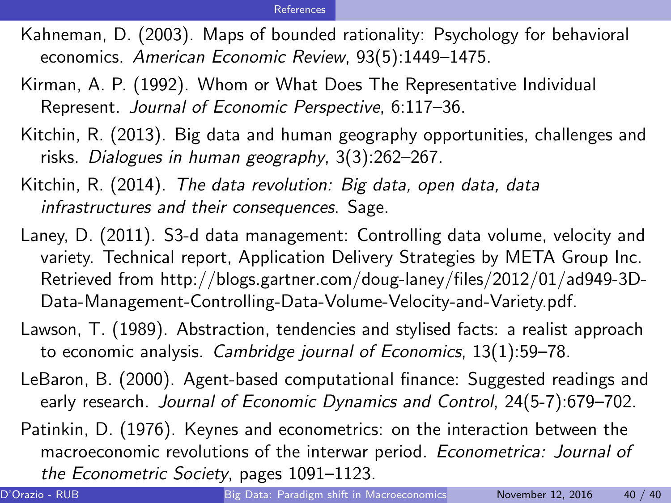- <span id="page-42-0"></span>Kahneman, D. (2003). Maps of bounded rationality: Psychology for behavioral economics. American Economic Review, 93(5):1449–1475.
- Kirman, A. P. (1992). Whom or What Does The Representative Individual Represent. Journal of Economic Perspective, 6:117–36.
- Kitchin, R. (2013). Big data and human geography opportunities, challenges and risks. Dialogues in human geography, 3(3):262–267.
- Kitchin, R. (2014). The data revolution: Big data, open data, data infrastructures and their consequences. Sage.
- Laney, D. (2011). S3-d data management: Controlling data volume, velocity and variety. Technical report, Application Delivery Strategies by META Group Inc. Retrieved from http://blogs.gartner.com/doug-laney/files/2012/01/ad949-3D-Data-Management-Controlling-Data-Volume-Velocity-and-Variety.pdf.
- Lawson, T. (1989). Abstraction, tendencies and stylised facts: a realist approach to economic analysis. Cambridge journal of Economics, 13(1):59–78.
- LeBaron, B. (2000). Agent-based computational finance: Suggested readings and early research. Journal of Economic Dynamics and Control, 24(5-7):679–702.
- Patinkin, D. (1976). Keynes and econometrics: on the interaction between the macroeconomic revolutions of the interwar period. Econometrica: Journal of the Econometric Society, pages 1091–1123.